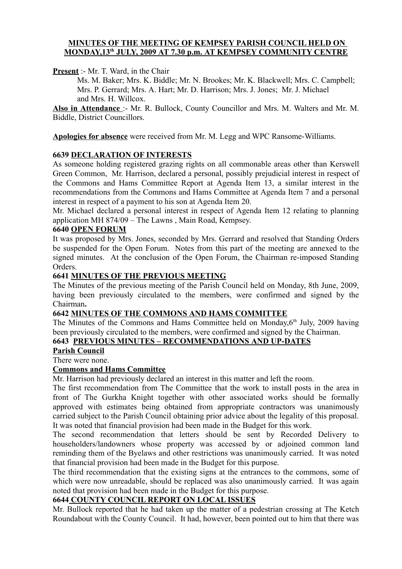#### **MINUTES OF THE MEETING OF KEMPSEY PARISH COUNCIL HELD ON MONDAY,13 th JULY, 2009 AT 7.30 p.m. AT KEMPSEY COMMUNITY CENTRE**

**Present** :- Mr. T. Ward, in the Chair

Ms. M. Baker; Mrs. K. Biddle; Mr. N. Brookes; Mr. K. Blackwell; Mrs. C. Campbell; Mrs. P. Gerrard; Mrs. A. Hart; Mr. D. Harrison; Mrs. J. Jones; Mr. J. Michael and Mrs. H. Willcox.

**Also in Attendance** :- Mr. R. Bullock, County Councillor and Mrs. M. Walters and Mr. M. Biddle, District Councillors.

**Apologies for absence** were received from Mr. M. Legg and WPC Ransome-Williams.

### **6639 DECLARATION OF INTERESTS**

As someone holding registered grazing rights on all commonable areas other than Kerswell Green Common, Mr. Harrison, declared a personal, possibly prejudicial interest in respect of the Commons and Hams Committee Report at Agenda Item 13, a similar interest in the recommendations from the Commons and Hams Committee at Agenda Item 7 and a personal interest in respect of a payment to his son at Agenda Item 20.

Mr. Michael declared a personal interest in respect of Agenda Item 12 relating to planning application MH 874/09 – The Lawns , Main Road, Kempsey.

#### **6640 OPEN FORUM**

It was proposed by Mrs. Jones, seconded by Mrs. Gerrard and resolved that Standing Orders be suspended for the Open Forum. Notes from this part of the meeting are annexed to the signed minutes. At the conclusion of the Open Forum, the Chairman re-imposed Standing Orders.

#### **6641 MINUTES OF THE PREVIOUS MEETING**

The Minutes of the previous meeting of the Parish Council held on Monday, 8th June, 2009, having been previously circulated to the members, were confirmed and signed by the Chairman**.**

### **6642 MINUTES OF THE COMMONS AND HAMS COMMITTEE**

The Minutes of the Commons and Hams Committee held on Monday, 6<sup>th</sup> July, 2009 having been previously circulated to the members, were confirmed and signed by the Chairman.

#### **6643 PREVIOUS MINUTES – RECOMMENDATIONS AND UP-DATES**

#### **Parish Council**

There were none.

### **Commons and Hams Committee**

Mr. Harrison had previously declared an interest in this matter and left the room.

The first recommendation from The Committee that the work to install posts in the area in front of The Gurkha Knight together with other associated works should be formally approved with estimates being obtained from appropriate contractors was unanimously carried subject to the Parish Council obtaining prior advice about the legality of this proposal. It was noted that financial provision had been made in the Budget for this work.

The second recommendation that letters should be sent by Recorded Delivery to householders/landowners whose property was accessed by or adjoined common land reminding them of the Byelaws and other restrictions was unanimously carried. It was noted that financial provision had been made in the Budget for this purpose.

The third recommendation that the existing signs at the entrances to the commons, some of which were now unreadable, should be replaced was also unanimously carried. It was again noted that provision had been made in the Budget for this purpose.

## **6644 COUNTY COUNCIL REPORT ON LOCAL ISSUES**

Mr. Bullock reported that he had taken up the matter of a pedestrian crossing at The Ketch Roundabout with the County Council. It had, however, been pointed out to him that there was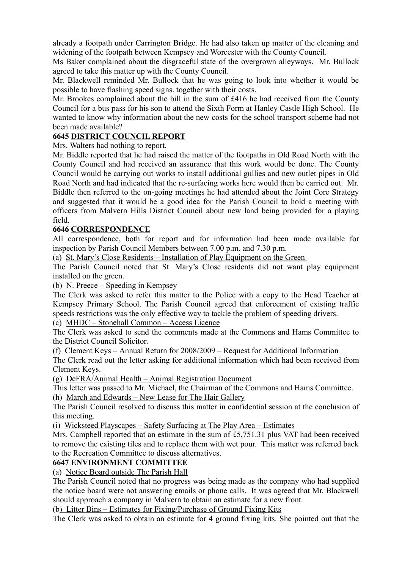already a footpath under Carrington Bridge. He had also taken up matter of the cleaning and widening of the footpath between Kempsey and Worcester with the County Council.

Ms Baker complained about the disgraceful state of the overgrown alleyways. Mr. Bullock agreed to take this matter up with the County Council.

Mr. Blackwell reminded Mr. Bullock that he was going to look into whether it would be possible to have flashing speed signs. together with their costs.

Mr. Brookes complained about the bill in the sum of £416 he had received from the County Council for a bus pass for his son to attend the Sixth Form at Hanley Castle High School. He wanted to know why information about the new costs for the school transport scheme had not been made available?

### **6645 DISTRICT COUNCIL REPORT**

Mrs. Walters had nothing to report.

Mr. Biddle reported that he had raised the matter of the footpaths in Old Road North with the County Council and had received an assurance that this work would be done. The County Council would be carrying out works to install additional gullies and new outlet pipes in Old Road North and had indicated that the re-surfacing works here would then be carried out. Mr. Biddle then referred to the on-going meetings he had attended about the Joint Core Strategy and suggested that it would be a good idea for the Parish Council to hold a meeting with officers from Malvern Hills District Council about new land being provided for a playing field.

### **6646 CORRESPONDENCE**

All correspondence, both for report and for information had been made available for inspection by Parish Council Members between 7.00 p.m. and 7.30 p.m.

(a) St. Mary's Close Residents – Installation of Play Equipment on the Green

The Parish Council noted that St. Mary's Close residents did not want play equipment installed on the green.

(b) N. Preece – Speeding in Kempsey

The Clerk was asked to refer this matter to the Police with a copy to the Head Teacher at Kempsey Primary School. The Parish Council agreed that enforcement of existing traffic speeds restrictions was the only effective way to tackle the problem of speeding drivers.

(c) MHDC – Stonehall Common – Access Licence

The Clerk was asked to send the comments made at the Commons and Hams Committee to the District Council Solicitor.

(f) Clement Keys – Annual Return for 2008/2009 – Request for Additional Information

The Clerk read out the letter asking for additional information which had been received from Clement Keys.

(g) DeFRA/Animal Health – Animal Registration Document

This letter was passed to Mr. Michael, the Chairman of the Commons and Hams Committee.

(h) March and Edwards – New Lease for The Hair Gallery

The Parish Council resolved to discuss this matter in confidential session at the conclusion of this meeting.

(i) Wicksteed Playscapes – Safety Surfacing at The Play Area – Estimates

Mrs. Campbell reported that an estimate in the sum of £5,751.31 plus VAT had been received to remove the existing tiles and to replace them with wet pour. This matter was referred back to the Recreation Committee to discuss alternatives.

#### **6647 ENVIRONMENT COMMITTEE**

(a) Notice Board outside The Parish Hall

The Parish Council noted that no progress was being made as the company who had supplied the notice board were not answering emails or phone calls. It was agreed that Mr. Blackwell should approach a company in Malvern to obtain an estimate for a new front.

(b) Litter Bins – Estimates for Fixing/Purchase of Ground Fixing Kits

The Clerk was asked to obtain an estimate for 4 ground fixing kits. She pointed out that the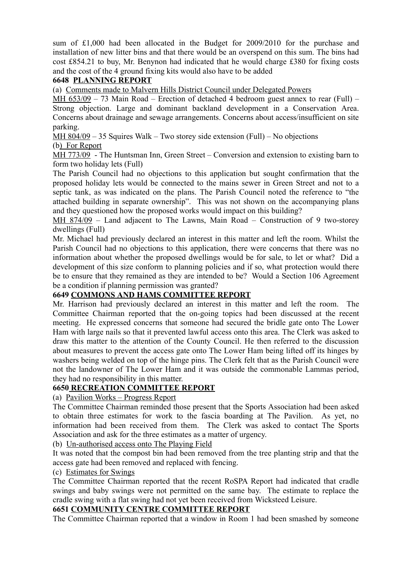sum of £1,000 had been allocated in the Budget for 2009/2010 for the purchase and installation of new litter bins and that there would be an overspend on this sum. The bins had cost £854.21 to buy, Mr. Benynon had indicated that he would charge £380 for fixing costs and the cost of the 4 ground fixing kits would also have to be added

## **6648 PLANNING REPORT**

(a) Comments made to Malvern Hills District Council under Delegated Powers

MH 653/09 – 73 Main Road – Erection of detached 4 bedroom guest annex to rear (Full) – Strong objection. Large and dominant backland development in a Conservation Area. Concerns about drainage and sewage arrangements. Concerns about access/insufficient on site parking.

MH 804/09 – 35 Squires Walk – Two storey side extension (Full) – No objections

(b) For Report

MH 773/09 - The Huntsman Inn, Green Street – Conversion and extension to existing barn to form two holiday lets (Full)

The Parish Council had no objections to this application but sought confirmation that the proposed holiday lets would be connected to the mains sewer in Green Street and not to a septic tank, as was indicated on the plans. The Parish Council noted the reference to "the attached building in separate ownership". This was not shown on the accompanying plans and they questioned how the proposed works would impact on this building?

MH 874/09 – Land adjacent to The Lawns, Main Road – Construction of 9 two-storey dwellings (Full)

Mr. Michael had previously declared an interest in this matter and left the room. Whilst the Parish Council had no objections to this application, there were concerns that there was no information about whether the proposed dwellings would be for sale, to let or what? Did a development of this size conform to planning policies and if so, what protection would there be to ensure that they remained as they are intended to be? Would a Section 106 Agreement be a condition if planning permission was granted?

### **6649 COMMONS AND HAMS COMMITTEE REPORT**

Mr. Harrison had previously declared an interest in this matter and left the room. The Committee Chairman reported that the on-going topics had been discussed at the recent meeting. He expressed concerns that someone had secured the bridle gate onto The Lower Ham with large nails so that it prevented lawful access onto this area. The Clerk was asked to draw this matter to the attention of the County Council. He then referred to the discussion about measures to prevent the access gate onto The Lower Ham being lifted off its hinges by washers being welded on top of the hinge pins. The Clerk felt that as the Parish Council were not the landowner of The Lower Ham and it was outside the commonable Lammas period, they had no responsibility in this matter.

### **6650 RECREATION COMMITTEE REPORT**

(a) Pavilion Works – Progress Report

The Committee Chairman reminded those present that the Sports Association had been asked to obtain three estimates for work to the fascia boarding at The Pavilion. As yet, no information had been received from them. The Clerk was asked to contact The Sports Association and ask for the three estimates as a matter of urgency.

(b) Un-authorised access onto The Playing Field

It was noted that the compost bin had been removed from the tree planting strip and that the access gate had been removed and replaced with fencing.

### (c) Estimates for Swings

The Committee Chairman reported that the recent RoSPA Report had indicated that cradle swings and baby swings were not permitted on the same bay. The estimate to replace the cradle swing with a flat swing had not yet been received from Wicksteed Leisure.

### **6651 COMMUNITY CENTRE COMMITTEE REPORT**

The Committee Chairman reported that a window in Room 1 had been smashed by someone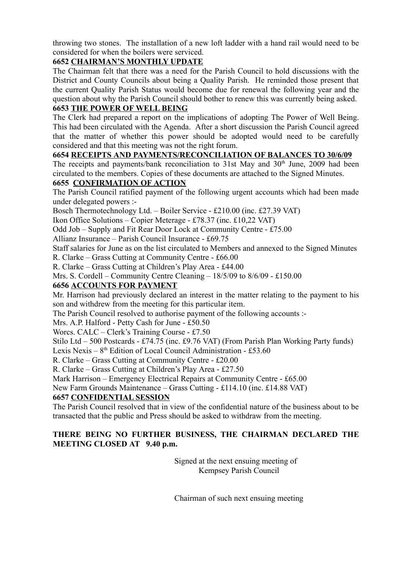throwing two stones. The installation of a new loft ladder with a hand rail would need to be considered for when the boilers were serviced.

## **6652 CHAIRMAN'S MONTHLY UPDATE**

The Chairman felt that there was a need for the Parish Council to hold discussions with the District and County Councils about being a Quality Parish. He reminded those present that the current Quality Parish Status would become due for renewal the following year and the question about why the Parish Council should bother to renew this was currently being asked.

# **6653 THE POWER OF WELL BEING**

The Clerk had prepared a report on the implications of adopting The Power of Well Being. This had been circulated with the Agenda. After a short discussion the Parish Council agreed that the matter of whether this power should be adopted would need to be carefully considered and that this meeting was not the right forum.

# **6654 RECEIPTS AND PAYMENTS/RECONCILIATION OF BALANCES TO 30/6/09**

The receipts and payments/bank reconciliation to 31st May and 30<sup>th</sup> June, 2009 had been circulated to the members. Copies of these documents are attached to the Signed Minutes.

### **6655 CONFIRMATION OF ACTION**

The Parish Council ratified payment of the following urgent accounts which had been made under delegated powers :-

Bosch Thermotechnology Ltd. – Boiler Service - £210.00 (inc. £27.39 VAT)

Ikon Office Solutions – Copier Meterage - £78.37 (inc. £10,22 VAT)

Odd Job – Supply and Fit Rear Door Lock at Community Centre - £75.00

Allianz Insurance – Parish Council Insurance - £69.75

Staff salaries for June as on the list circulated to Members and annexed to the Signed Minutes R. Clarke – Grass Cutting at Community Centre - £66.00

R. Clarke – Grass Cutting at Children's Play Area - £44.00

Mrs. S. Cordell – Community Centre Cleaning – 18/5/09 to 8/6/09 - £150.00

## **6656 ACCOUNTS FOR PAYMENT**

Mr. Harrison had previously declared an interest in the matter relating to the payment to his son and withdrew from the meeting for this particular item.

The Parish Council resolved to authorise payment of the following accounts :-

Mrs. A.P. Halford - Petty Cash for June - £50.50

Worcs. CALC – Clerk's Training Course - £7.50

Stilo Ltd – 500 Postcards - £74.75 (inc. £9.76 VAT) (From Parish Plan Working Party funds) Lexis Nexis - 8<sup>th</sup> Edition of Local Council Administration - £53.60

R. Clarke – Grass Cutting at Community Centre - £20.00

R. Clarke – Grass Cutting at Children's Play Area - £27.50

Mark Harrison – Emergency Electrical Repairs at Community Centre - £65.00

New Farm Grounds Maintenance – Grass Cutting - £114.10 (inc. £14.88 VAT)

### **6657 CONFIDENTIAL SESSION**

The Parish Council resolved that in view of the confidential nature of the business about to be transacted that the public and Press should be asked to withdraw from the meeting.

## **THERE BEING NO FURTHER BUSINESS, THE CHAIRMAN DECLARED THE MEETING CLOSED AT 9.40 p.m.**

Signed at the next ensuing meeting of Kempsey Parish Council

Chairman of such next ensuing meeting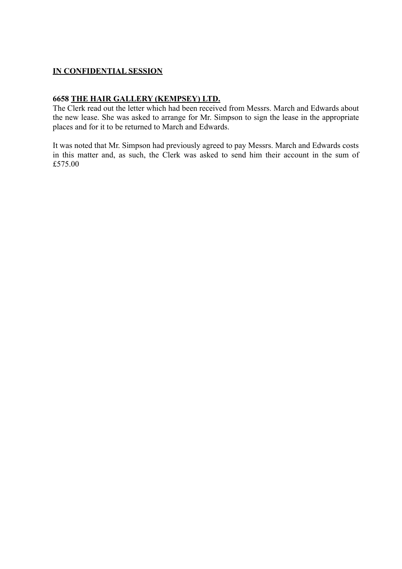## **IN CONFIDENTIAL SESSION**

#### **6658 THE HAIR GALLERY (KEMPSEY) LTD.**

The Clerk read out the letter which had been received from Messrs. March and Edwards about the new lease. She was asked to arrange for Mr. Simpson to sign the lease in the appropriate places and for it to be returned to March and Edwards.

It was noted that Mr. Simpson had previously agreed to pay Messrs. March and Edwards costs in this matter and, as such, the Clerk was asked to send him their account in the sum of £575.00